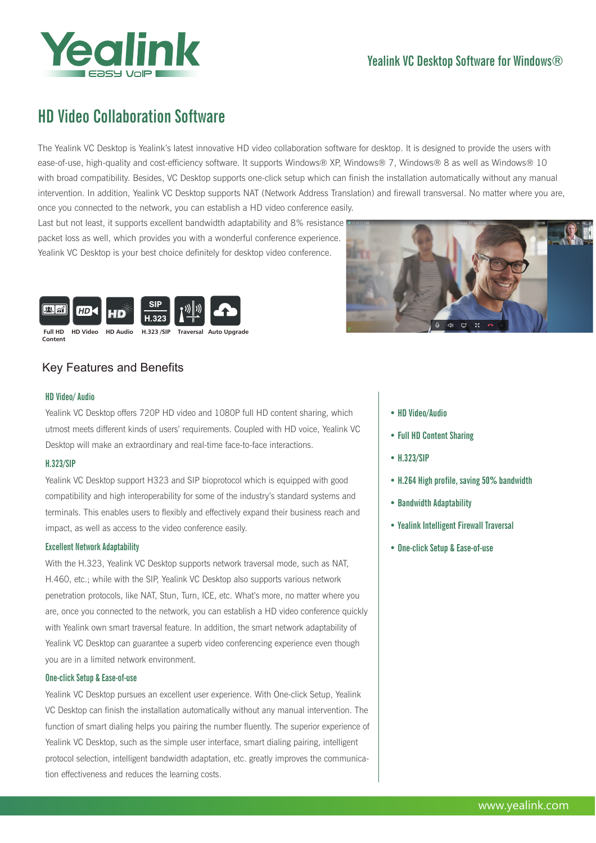

## Yealink VC Desktop Software for Windows®

# HD Video Collaboration Software

The Yealink VC Desktop is Yealink's latest innovative HD video collaboration software for desktop. It is designed to provide the users with ease-of-use, high-quality and cost-efficiency software. It supports Windows® XP, Windows® 7, Windows® 8 as well as Windows® 10 with broad compatibility. Besides, VC Desktop supports one-click setup which can finish the installation automatically without any manual intervention. In addition, Yealink VC Desktop supports NAT (Network Address Translation) and firewall transversal. No matter where you are, once you connected to the network, you can establish a HD video conference easily.

Last but not least, it supports excellent bandwidth adaptability and 8% resistance packet loss as well, which provides you with a wonderful conference experience. Yealink VC Desktop is your best choice definitely for desktop video conference.





### Key Features and Benefits

#### HD Video/ Audio

Content

Yealink VC Desktop offers 720P HD video and 1080P full HD content sharing, which utmost meets different kinds of users' requirements. Coupled with HD voice, Yealink VC Desktop will make an extraordinary and real-time face-to-face interactions.

#### H.323/SIP

Yealink VC Desktop support H323 and SIP bioprotocol which is equipped with good compatibility and high interoperability for some of the industry's standard systems and terminals. This enables users to flexibly and effectively expand their business reach and impact, as well as access to the video conference easily.

#### Excellent Network Adaptability

With the H.323, Yealink VC Desktop supports network traversal mode, such as NAT, H.460, etc.; while with the SIP, Yealink VC Desktop also supports various network penetration protocols, like NAT, Stun, Turn, ICE, etc. What's more, no matter where you are, once you connected to the network, you can establish a HD video conference quickly with Yealink own smart traversal feature. In addition, the smart network adaptability of Yealink VC Desktop can guarantee a superb video conferencing experience even though you are in a limited network environment.

#### One-click Setup & Ease-of-use

Yealink VC Desktop pursues an excellent user experience. With One-click Setup, Yealink VC Desktop can finish the installation automatically without any manual intervention. The function of smart dialing helps you pairing the number fluently. The superior experience of Yealink VC Desktop, such as the simple user interface, smart dialing pairing, intelligent protocol selection, intelligent bandwidth adaptation, etc. greatly improves the communication effectiveness and reduces the learning costs.

#### • HD Video/Audio

- Full HD Content Sharing
- H.323/SIP
- H.264 High profile, saving 50% bandwidth
- Bandwidth Adaptability
- Yealink Intelligent Firewall Traversal
- One-click Setup & Ease-of-use